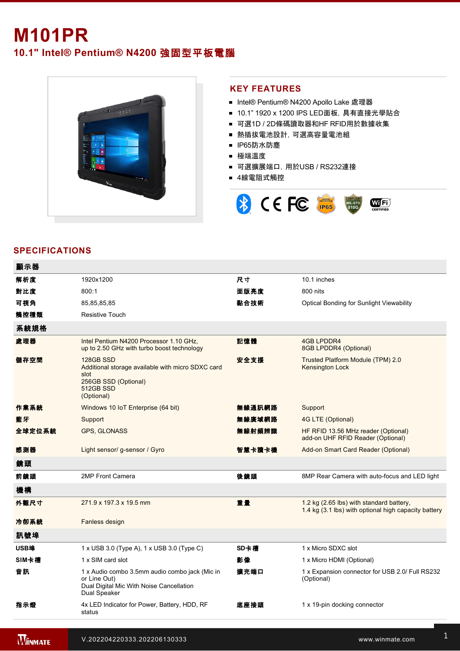# **M101PR**

# **10.1" Intel® Pentium® N4200** 強固型平板電腦



#### **KEY FEATURES**

- Intel® Pentium® N4200 Apollo Lake 處理器
- 10.1" 1920 x 1200 IPS LED面板, 具有直接光學貼合
- 可選1D / 2D條碼讀取器和HF RFID用於數據收集
- 熱插拔電池設計,可選高容量電池組
- IP65防水防塵
- 極端溫度
- 可選擴展端口, 用於USB / RS232連接
- 4線電阻式觸控



### **SPECIFICATIONS**

| 顯示器    |                                                                                                                            |        |                                                                                                  |
|--------|----------------------------------------------------------------------------------------------------------------------------|--------|--------------------------------------------------------------------------------------------------|
| 解析度    | 1920x1200                                                                                                                  | 尺寸     | 10.1 inches                                                                                      |
| 對比度    | 800:1                                                                                                                      | 面版亮度   | 800 nits                                                                                         |
| 可視角    | 85,85,85,85                                                                                                                | 黏合技術   | <b>Optical Bonding for Sunlight Viewability</b>                                                  |
| 觸控種類   | <b>Resistive Touch</b>                                                                                                     |        |                                                                                                  |
| 系統規格   |                                                                                                                            |        |                                                                                                  |
| 處理器    | Intel Pentium N4200 Processor 1.10 GHz.<br>up to 2.50 GHz with turbo boost technology                                      | 記憶體    | 4GB LPDDR4<br>8GB LPDDR4 (Optional)                                                              |
| 儲存空間   | 128GB SSD<br>Additional storage available with micro SDXC card<br>slot<br>256GB SSD (Optional)<br>512GB SSD<br>(Optional)  | 安全支援   | Trusted Platform Module (TPM) 2.0<br>Kensington Lock                                             |
| 作業系統   | Windows 10 IoT Enterprise (64 bit)                                                                                         | 無線通訊網路 | Support                                                                                          |
| 藍牙     | Support                                                                                                                    | 無線廣域網路 | 4G LTE (Optional)                                                                                |
| 全球定位系統 | GPS, GLONASS                                                                                                               | 無線射頻辨識 | HF RFID 13.56 MHz reader (Optional)<br>add-on UHF RFID Reader (Optional)                         |
| 感測器    | Light sensor/ g-sensor / Gyro                                                                                              | 智慧卡讀卡機 | Add-on Smart Card Reader (Optional)                                                              |
| 鏡頭     |                                                                                                                            |        |                                                                                                  |
| 前鏡頭    | 2MP Front Camera                                                                                                           | 後鏡頭    | 8MP Rear Camera with auto-focus and LED light                                                    |
| 機構     |                                                                                                                            |        |                                                                                                  |
| 外觀尺寸   | 271.9 x 197.3 x 19.5 mm                                                                                                    | 重量     | 1.2 kg (2.65 lbs) with standard battery,<br>1.4 kg (3.1 lbs) with optional high capacity battery |
| 冷卻系統   | Fanless design                                                                                                             |        |                                                                                                  |
| 訊號埠    |                                                                                                                            |        |                                                                                                  |
| USB埠   | $1 \times$ USB 3.0 (Type A), $1 \times$ USB 3.0 (Type C)                                                                   | SD卡槽   | 1 x Micro SDXC slot                                                                              |
| SIM卡槽  | 1 x SIM card slot                                                                                                          | 影像     | 1 x Micro HDMI (Optional)                                                                        |
| 音訊     | 1 x Audio combo 3.5mm audio combo jack (Mic in<br>or Line Out)<br>Dual Digital Mic With Noise Cancellation<br>Dual Speaker | 擴充端口   | 1 x Expansion connector for USB 2.0/ Full RS232<br>(Optional)                                    |
| 指示燈    | 4x LED Indicator for Power, Battery, HDD, RF<br>status                                                                     | 底座接頭   | 1 x 19-pin docking connector                                                                     |
|        |                                                                                                                            |        |                                                                                                  |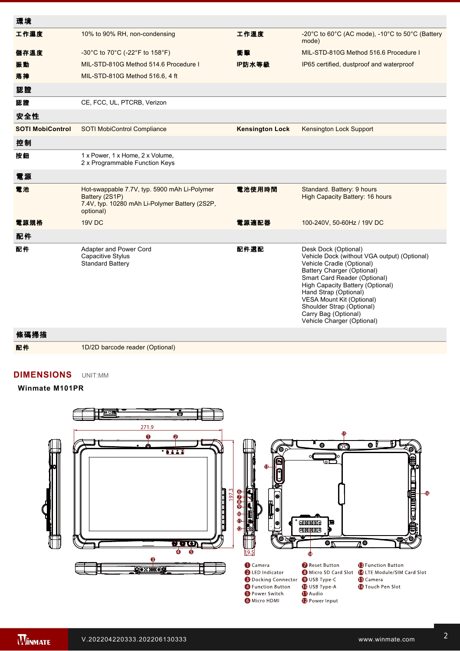| 環境                      |                                                                                                                               |                        |                                                                                                                                                                                                                                                                                                                                              |
|-------------------------|-------------------------------------------------------------------------------------------------------------------------------|------------------------|----------------------------------------------------------------------------------------------------------------------------------------------------------------------------------------------------------------------------------------------------------------------------------------------------------------------------------------------|
| 工作濕度                    | 10% to 90% RH, non-condensing                                                                                                 | 工作溫度                   | -20°C to 60°C (AC mode), -10°C to 50°C (Battery<br>mode)                                                                                                                                                                                                                                                                                     |
| 儲存溫度                    | -30°C to 70°C (-22°F to 158°F)                                                                                                | 衝擊                     | MIL-STD-810G Method 516.6 Procedure I                                                                                                                                                                                                                                                                                                        |
| 振動                      | MIL-STD-810G Method 514.6 Procedure I                                                                                         | IP防水等級                 | IP65 certified, dustproof and waterproof                                                                                                                                                                                                                                                                                                     |
| 落摔                      | MIL-STD-810G Method 516.6, 4 ft                                                                                               |                        |                                                                                                                                                                                                                                                                                                                                              |
| 認證                      |                                                                                                                               |                        |                                                                                                                                                                                                                                                                                                                                              |
| 認證                      | CE, FCC, UL, PTCRB, Verizon                                                                                                   |                        |                                                                                                                                                                                                                                                                                                                                              |
| 安全性                     |                                                                                                                               |                        |                                                                                                                                                                                                                                                                                                                                              |
| <b>SOTI MobiControl</b> | SOTI MobiControl Compliance                                                                                                   | <b>Kensington Lock</b> | Kensington Lock Support                                                                                                                                                                                                                                                                                                                      |
| 控制                      |                                                                                                                               |                        |                                                                                                                                                                                                                                                                                                                                              |
| 按鈕                      | 1 x Power, 1 x Home, 2 x Volume,<br>2 x Programmable Function Keys                                                            |                        |                                                                                                                                                                                                                                                                                                                                              |
| 電源                      |                                                                                                                               |                        |                                                                                                                                                                                                                                                                                                                                              |
| 電池                      | Hot-swappable 7.7V, typ. 5900 mAh Li-Polymer<br>Battery (2S1P)<br>7.4V, typ. 10280 mAh Li-Polymer Battery (2S2P,<br>optional) | 電池使用時間                 | Standard. Battery: 9 hours<br><b>High Capacity Battery: 16 hours</b>                                                                                                                                                                                                                                                                         |
| 電源規格                    | 19V DC                                                                                                                        | 電源適配器                  | 100-240V, 50-60Hz / 19V DC                                                                                                                                                                                                                                                                                                                   |
| 配件                      |                                                                                                                               |                        |                                                                                                                                                                                                                                                                                                                                              |
| 配件                      | Adapter and Power Cord<br>Capacitive Stylus<br><b>Standard Battery</b>                                                        | 配件選配                   | Desk Dock (Optional)<br>Vehicle Dock (without VGA output) (Optional)<br>Vehicle Cradle (Optional)<br>Battery Charger (Optional)<br>Smart Card Reader (Optional)<br>High Capacity Battery (Optional)<br>Hand Strap (Optional)<br>VESA Mount Kit (Optional)<br>Shoulder Strap (Optional)<br>Carry Bag (Optional)<br>Vehicle Charger (Optional) |

 $\mathbf{r} = \mathbf{r} \cdot \mathbf{r}$  19pin docking connector  $\mathbf{r} = \mathbf{r} \cdot \mathbf{r}$ 

## 條碼掃描

配件 1D/2D barcode reader (Optional)

 $\mathcal{L}_{\mathcal{A}}$  axis  $\mathcal{L}_{\mathcal{A}}$  axis  $\mathcal{L}_{\mathcal{A}}$  axis  $\mathcal{L}_{\mathcal{A}}$  axis  $\mathcal{L}_{\mathcal{A}}$  axis  $\mathcal{L}_{\mathcal{A}}$  axis  $\mathcal{L}_{\mathcal{A}}$ 

### **DIMENSIONS**  UNIT:MM

#### **Winmate M101PR**



**NOTE**